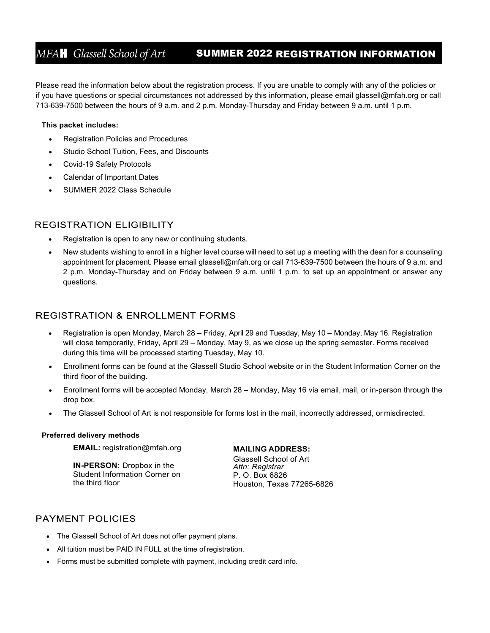# MFA**H** *Glassell School of Art* **SUMMER 2022 REGISTRATION INFORMATION**

Please read the information below about the registration process. If you are unable to comply with any of the policies or if you have questions or special circumstances not addressed by this information, please email [glassell@mfah.org o](mailto:glassell@mfah.org)r call 713-639-7500 between the hours of 9 a.m. and 2 p.m. Monday-Thursday and Friday between 9 a.m. until 1 p.m.

### **This packet includes:**

*.*

- Registration Policies and Procedures
- Studio School Tuition, Fees, and Discounts
- Covid-19 Safety Protocols
- Calendar of Important Dates
- SUMMER 2022 Class Schedule

## **REGISTRATION ELIGIBILITY**

- Registration is open to any new or continuing students.
- New students wishing to enroll in a higher level course will need to set up a meeting with the dean for a counseling appointment for placement. Please email [glassell@mfah.org o](mailto:glassell@mfah.org)r call 713-639-7500 between the hours of 9 a.m. and 2 p.m. Monday-Thursday and on Friday between 9 a.m. until 1 p.m. to set up an appointment or answer any questions.

# **REGISTRATION & ENROLLMENT FORMS**

- Registration is open Monday, March 28 Friday, April 29 and Tuesday, May 10 Monday, May 16. Registration will close temporarily, Friday, April 29 – Monday, May 9, as we close up the spring semester. Forms received during this time will be processed starting Tuesday, May 10.
- Enrollment forms can be found at the Glassell Studio School website or in the Student Information Corner on the third floor of the building.
- Enrollment forms will be accepted Monday, March 28 Monday, May 16 via email, mail, or in-person through the drop box.
- The Glassell School of Art is not responsible for forms lost in the mail, incorrectly addressed, or misdirected.

### **Preferred delivery methods**

**EMAIL:** [registration@mfah.org](mailto:registration@mfah.org)

**IN-PERSON:** Dropbox in the Student Information Corner on the third floor

## **MAILING ADDRESS:**

Glassell School of Art *Attn: Registrar* P. O. Box 6826 Houston, Texas 77265-6826

# **PAYMENT POLICIES**

- The Glassell School of Art does not offer payment plans.
- All tuition must be PAID IN FULL at the time of registration.
- Forms must be submitted complete with payment, including credit card info.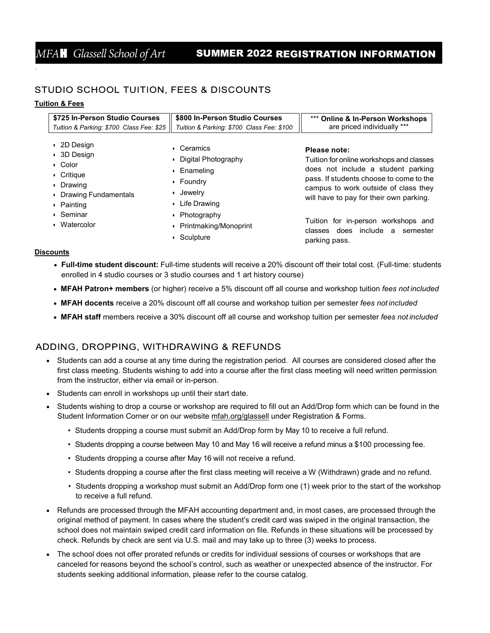# MFA**H** *Glassell School of Art* **SUMMER 2022 REGISTRATION INFORMATION**

# STUDIO SCHOOL TUITION, FEES & DISCOUNTS

## **Tuition & Fees**

*.*

| \$725 In-Person Studio Courses<br>Tuition & Parking: \$700 Class Fee: \$25                                                       | \$800 In-Person Studio Courses<br>Tuition & Parking: \$700 Class Fee: \$100                                  | *** Online & In-Person Workshops<br>are priced individually ***                                                                                                                                                              |
|----------------------------------------------------------------------------------------------------------------------------------|--------------------------------------------------------------------------------------------------------------|------------------------------------------------------------------------------------------------------------------------------------------------------------------------------------------------------------------------------|
| • 2D Design<br>$\cdot$ 3D Design<br>$\cdot$ Color<br>$\cdot$ Critique<br>• Drawing<br>• Drawing Fundamentals<br>$\cdot$ Painting | Ceramics<br>Digital Photography<br>Enameling<br>Foundry<br>$\bullet$<br>Jewelry<br>Life Drawing<br>$\bullet$ | Please note:<br>Tuition for online workshops and classes<br>does not include a student parking<br>pass. If students choose to come to the<br>campus to work outside of class they<br>will have to pay for their own parking. |
| • Seminar<br>Watercolor<br>$\bullet$                                                                                             | Photography<br>Printmaking/Monoprint<br>Sculpture                                                            | Tuition for in-person workshops and<br>does include<br>classes<br>semester<br>a<br>parking pass.                                                                                                                             |

### **Discounts**

• **Full-time student discount:** Full-time students will receive a 20% discount off their total cost. (Full-time: students enrolled in 4 studio courses or 3 studio courses and 1 art history course)

- **MFAH Patron+ members** (or higher) receive a 5% discount off all course and workshop tuition *fees not included*
- **MFAH docents** receive a 20% discount off all course and workshop tuition per semester *fees not included*
- **MFAH staff** members receive a 30% discount off all course and workshop tuition per semester *fees not included*

## ADDING, DROPPING, WITHDRAWING & REFUNDS

- Students can add a course at any time during the registration period. All courses are considered closed after the first class meeting. Students wishing to add into a course after the first class meeting will need written permission from the instructor, either via email or in-person.
- Students can enroll in workshops up until their start date.
- Students wishing to drop a course or workshop are required to fill out an Add/Drop form which can be found in the Student Information Corner or on our website [mfah.org/glassell](https://www.mfah.org/visit/glassell) under Registration & Forms.
	- Students dropping a course must submit an Add/Drop form by May 10 to receive a full refund.
	- Students dropping a course between May 10 and May 16 will receive a refund minus a \$100 processing fee.
	- Students dropping a course after May 16 will not receive a refund.
	- Students dropping a course after the first class meeting will receive a W (Withdrawn) grade and no refund.
	- Students dropping a workshop must submit an Add/Drop form one (1) week prior to the start of the workshop to receive a full refund.
- Refunds are processed through the MFAH accounting department and, in most cases, are processed through the original method of payment. In cases where the student's credit card was swiped in the original transaction, the school does not maintain swiped credit card information on file. Refunds in these situations will be processed by check. Refunds by check are sent via U.S. mail and may take up to three (3) weeks to process.
- The school does not offer prorated refunds or credits for individual sessions of courses or workshops that are canceled for reasons beyond the school's control, such as weather or unexpected absence of the instructor. For students seeking additional information, please refer to the course catalog.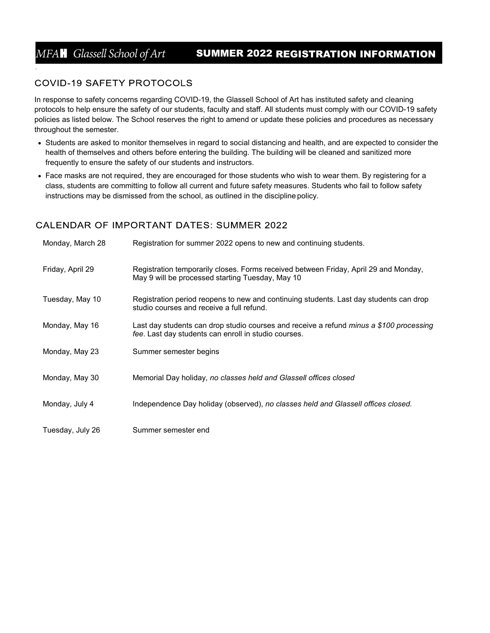*.*

# MFA**H** *Glassell School of Art* **SUMMER 2022 REGISTRATION INFORMATION**

# **COVID-19 SAFETY PROTOCOLS**

In response to safety concerns regarding COVID-19, the Glassell School of Art has instituted safety and cleaning protocols to help ensure the safety of our students, faculty and staff. All students must comply with our COVID-19 safety policies as listed below. The School reserves the right to amend or update these policies and procedures as necessary throughout the semester.

- Students are asked to monitor themselves in regard to social distancing and health, and are expected to consider the health of themselves and others before entering the building. The building will be cleaned and sanitized more frequently to ensure the safety of our students and instructors.
- Face masks are not required, they are encouraged for those students who wish to wear them. By registering for a class, students are committing to follow all current and future safety measures. Students who fail to follow safety instructions may be dismissed from the school, as outlined in the discipline policy.

# **CALENDAR OF IMPORTANT DATES: SUMMER 2022**

| Monday, March 28 | Registration for summer 2022 opens to new and continuing students.                                                                                     |
|------------------|--------------------------------------------------------------------------------------------------------------------------------------------------------|
| Friday, April 29 | Registration temporarily closes. Forms received between Friday, April 29 and Monday,<br>May 9 will be processed starting Tuesday, May 10               |
| Tuesday, May 10  | Registration period reopens to new and continuing students. Last day students can drop<br>studio courses and receive a full refund.                    |
| Monday, May 16   | Last day students can drop studio courses and receive a refund <i>minus a \$100 processing</i><br>fee. Last day students can enroll in studio courses. |
| Monday, May 23   | Summer semester begins                                                                                                                                 |
| Monday, May 30   | Memorial Day holiday, no classes held and Glassell offices closed                                                                                      |
| Monday, July 4   | Independence Day holiday (observed), no classes held and Glassell offices closed.                                                                      |
| Tuesday, July 26 | Summer semester end                                                                                                                                    |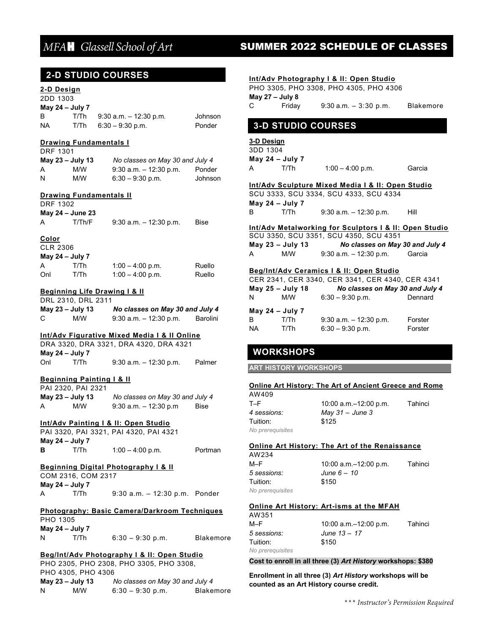# **2-D STUDIO COURSES**

### **2-D Design** 2DD 1303

| ZUU 1303          |      |                           |         |
|-------------------|------|---------------------------|---------|
| May 24 $-$ July 7 |      |                           |         |
| в                 | T/Th | $9:30$ a.m. $-12:30$ p.m. | Johnson |
| <b>NA</b>         | T/Th | $6:30 - 9:30$ p.m.        | Ponder  |

### **Drawing Fundamentals I**  DRF 1301

| May 23 - July 13 |     | No classes on May 30 and July 4 |         |
|------------------|-----|---------------------------------|---------|
| A                | M/W | $9:30$ a.m. $-12:30$ p.m.       | Ponder  |
| N                | M/W | $6:30 - 9:30$ p.m.              | Johnson |

### **Drawing Fundamentals II**

|  | DRF 1302 |
|--|----------|
|--|----------|

|   | May 24 – June 23 |                           |      |
|---|------------------|---------------------------|------|
| Α | T/Th/F           | $9:30$ a.m. $-12:30$ p.m. | Bise |

### **Color**

| <b>CLR 2306</b> |                   |                    |        |
|-----------------|-------------------|--------------------|--------|
|                 | May 24 $-$ July 7 |                    |        |
| A               | T/Th              | $1:00 - 4:00$ p.m. | Ruello |
| Onl             | T/Th              | $1:00 - 4:00$ p.m. | Ruello |

### **Beginning Life Drawing I & II**

|   | DRL 2310, DRL 2311 |                                 |          |
|---|--------------------|---------------------------------|----------|
|   | May $23 -$ July 13 | No classes on May 30 and July 4 |          |
| C | M/W                | $9:30$ a.m. $-12:30$ p.m.       | Barolini |

### **Int/Adv Figurative Mixed Media I & II Online**

|     |                   | DRA 3320. DRA 3321. DRA 4320. DRA 4321 |        |
|-----|-------------------|----------------------------------------|--------|
|     | May 24 $-$ July 7 |                                        |        |
| Onl | T/Th              | $9:30$ a.m. $-12:30$ p.m.              | Palmer |

### **Beginning Painting I & II**

|                    | PAI 2320, PAI 2321 |                                 |      |
|--------------------|--------------------|---------------------------------|------|
| May $23 -$ July 13 |                    | No classes on May 30 and July 4 |      |
| A                  | M/W                | $9:30$ a.m. $-12:30$ p.m        | Bise |

### **Int/Adv Painting I & II: Open Studio**

PAI 3320, PAI 3321, PAI 4320, PAI 4321 **May 24 – July 7 B** T/Th 1:00 – 4:00 p.m. Portman

### **Beginning Digital Photography I & II**

COM 2316, COM 2317 **May 24 – July 7** A T/Th 9:30 a.m. – 12:30 p.m. Ponder

### **Photography: Basic Camera/Darkroom Techniques**

| <b>PHO 1305</b>   |      |                    |                  |
|-------------------|------|--------------------|------------------|
| May 24 $-$ July 7 |      |                    |                  |
| N                 | T/Th | $6:30 - 9:30$ p.m. | <b>Blakemore</b> |

### **Beg/Int/Adv Photography I & II: Open Studio**

PHO 2305, PHO 2308, PHO 3305, PHO 3308, PHO 4305, PHO 4306 **May 23 – July 13** *No classes on May 30 and July 4* N M/W 6:30 – 9:30 p.m. Blakemore

# *MFA*H *Glassell School of Art* **SUMMER 2022 SCHEDULE OF CLASSES**

### **Int/Adv Photography I & II: Open Studio**

PHO 3305, PHO 3308, PHO 4305, PHO 4306 **May 27 – July 8**  C Friday 9:30 a.m. – 3:30 p.m. Blakemore

# **3-D STUDIO COURSES**

### **3-D Design**

3DD 1304 **May 24 – July 7** A T/Th 1:00 – 4:00 p.m. Garcia

### **Int/Adv Sculpture Mixed Media I & II: Open Studio** SCU 3333, SCU 3334, SCU 4333, SCU 4334

|   |                   | 300 3333, 300 3334, 300 4333, 300 4334 |      |
|---|-------------------|----------------------------------------|------|
|   | May $24 - July 7$ |                                        |      |
| B | T/Th              | $9:30$ a.m. $-12:30$ p.m.              | Hill |

### **Int/Adv Metalworking for Sculptors I & II: Open Studio**

SCU 3350, SCU 3351, SCU 4350, SCU 4351 **May 23 – July 13** *No classes on May 30 and July 4* A M/W 9:30 a.m. – 12:30 p.m. Garcia

### **Beg/Int/Adv Ceramics I & II: Open Studio**

| CER 2341, CER 3340, CER 3341, CER 4340, CER 4341 |                    |                                 |         |  |
|--------------------------------------------------|--------------------|---------------------------------|---------|--|
|                                                  | May $25 - July 18$ | No classes on May 30 and July 4 |         |  |
| N                                                | M/W                | $6:30 - 9:30$ p.m.              | Dennard |  |
| May 24 - July 7                                  |                    |                                 |         |  |
| R                                                | T/Th               | $9:30$ a.m. $-12:30$ p.m.       | Forster |  |
| ΝA                                               | T/Th               | $6:30 - 9:30$ p.m.              | Forster |  |

## **WORKSHOPS**

**ART HISTORY WORKSHOPS** 

### **Online Art History: The Art of Ancient Greece and Rome**

| AW409            |
|------------------|
| $T-F$            |
| 4 sessions:      |
| Tuition:         |
| No prerequisites |

10:00 a.m.–12:00 p.m. Tahinci *4 sessions: May 31* – *June 3* \$125

### **Online Art History: The Art of the Renaissance**

| AW234            |                          |         |
|------------------|--------------------------|---------|
| M-F              | 10:00 a.m. $-12:00$ p.m. | Tahinci |
| 5 sessions:      | June $6-10$              |         |
| Tuition:         | \$150                    |         |
| No prerequisites |                          |         |

### **Online Art History: Art-isms at the MFAH**

| AW351            |                         |         |
|------------------|-------------------------|---------|
| M-F              | 10:00 $a.m.-12:00 p.m.$ | Tahinci |
| 5 sessions:      | June $13 - 17$          |         |
| Tuition:         | \$150                   |         |
| No prerequisites |                         |         |

### **Cost to enroll in all three (3)** *Art History* **workshops: \$380**

**Enrollment in all three (3)** *Art History* **workshops will be counted as an Art History course credit.**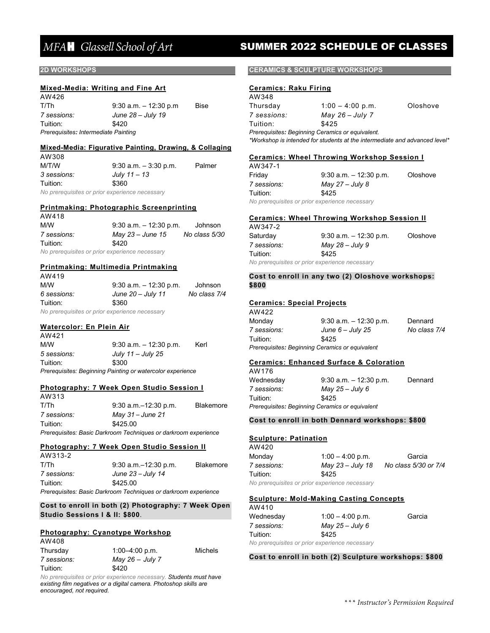### **2D WORKSHOPS**

AM/200

### **Mixed-Media: Writing and Fine Art**

AW426 T/Th 9:30 a.m. – 12:30 p.m Bise *7 sessions: June 28 – July 19* Tuition: \$420 *Prerequisites: Intermediate Painting*

### **Mixed-Media: Figurative Painting, Drawing, & Collaging**

| <b>AVVJUU</b> |                                                |        |
|---------------|------------------------------------------------|--------|
| M/T/W         | $9:30$ a.m. $-3:30$ p.m.                       | Palmer |
| 3 sessions:   | July 11 – 13                                   |        |
| Tuition:      | \$360                                          |        |
|               | No prerequisites or prior experience necessary |        |

*No prerequisites or prior experience necessary*

### **Printmaking: Photographic Screenprinting** AW418

| ,,,, <del>,</del> ,                            |                           |               |  |  |
|------------------------------------------------|---------------------------|---------------|--|--|
| M/W                                            | $9:30$ a.m. $-12:30$ p.m. | Johnson       |  |  |
| 7 sessions:                                    | May 23 – June 15          | No class 5/30 |  |  |
| Tuition:                                       | \$420                     |               |  |  |
| No prerequisites or prior experience necessary |                           |               |  |  |

### **Printmaking: Multimedia Printmaking**

| AW419       |                                                |              |
|-------------|------------------------------------------------|--------------|
| M/W         | $9:30$ a.m. $-12:30$ p.m.                      | Johnson      |
| 6 sessions: | June $20 -$ July 11                            | No class 7/4 |
| Tuition:    | \$360                                          |              |
|             | No prerequisites or prior experience necessary |              |

### **Watercolor: En Plein Air**

 $AMA24$ 

AW313

| <b>UNITE</b> |                                                            |      |
|--------------|------------------------------------------------------------|------|
| M/W          | $9:30$ a.m. $-12:30$ p.m.                                  | Kerl |
| 5 sessions:  | July 11 – July 25                                          |      |
| Tuition:     | \$300                                                      |      |
|              | Prerequisites: Beginning Painting or watercolor experience |      |

### **Photography: 7 Week Open Studio Session I**

| <b>UULO</b>                                                     |                           |                  |  |
|-----------------------------------------------------------------|---------------------------|------------------|--|
| T/Th                                                            | $9:30$ a.m. $-12:30$ p.m. | <b>Blakemore</b> |  |
| 7 sessions:                                                     | May $31 -$ June 21        |                  |  |
| Tuition:                                                        | \$425.00                  |                  |  |
| Prerequisites: Basic Darkroom Techniques or darkroom experience |                           |                  |  |

### **Photography: 7 Week Open Studio Session II**

| AW313-2     |                                                                 |                  |
|-------------|-----------------------------------------------------------------|------------------|
| T/Th        | $9:30$ a.m. $-12:30$ p.m.                                       | <b>Blakemore</b> |
| 7 sessions: | June $23$ – July 14                                             |                  |
| Tuition:    | \$425.00                                                        |                  |
|             | Prerequisites: Basic Darkroom Techniques or darkroom experience |                  |

### **Cost to enroll in both (2) Photography: 7 Week Open Studio Sessions I & II: \$800**.

### **Photography: Cyanotype Workshop** AW408

| <b>A</b>    |                    |         |
|-------------|--------------------|---------|
| Thursday    | $1:00 - 4:00$ p.m. | Michels |
| 7 sessions: | May 26 $-$ July 7  |         |
| Tuition:    | \$420              |         |

*No prerequisites or prior experience necessary. Students must have existing film negatives or a digital camera. Photoshop skills are encouraged, not required.*

# *MFA*H *Glassell School of Art* **SUMMER 2022 SCHEDULE OF CLASSES**

### **CERAMICS & SCULPTURE WORKSHOPS**

### **Ceramics: Raku Firing**  $111248$

| AW 348      |                                                                            |          |
|-------------|----------------------------------------------------------------------------|----------|
| Thursday    | $1:00 - 4:00$ p.m.                                                         | Oloshove |
| 7 sessions: | May $26 - July 7$                                                          |          |
| Tuition:    | \$425                                                                      |          |
|             | Prerequisites: Beginning Ceramics or equivalent.                           |          |
|             | *Workshop is intended for students at the intermediate and advanced level* |          |
|             |                                                                            |          |

### **Ceramics: Wheel Throwing Workshop Session I**

| AW347-1     |                           |          |
|-------------|---------------------------|----------|
| Friday      | $9:30$ a.m. $-12:30$ p.m. | Oloshove |
| 7 sessions: | May $27 - July 8$         |          |
| Tuition:    | \$425                     |          |
|             |                           |          |

*No prerequisites or prior experience necessary*

### **Ceramics: Wheel Throwing Workshop Session II**

| AW347-2                                        |                           |          |
|------------------------------------------------|---------------------------|----------|
| Saturday                                       | $9:30$ a.m. $-12:30$ p.m. | Oloshove |
| 7 sessions:                                    | May 28 – July 9           |          |
| Tuition:                                       | \$425                     |          |
| No prerequisites or prior experience necessary |                           |          |

### **Cost to enroll in any two (2) Oloshove workshops: \$800**

### **Ceramics: Special Projects**

| AW422       |                                                 |              |
|-------------|-------------------------------------------------|--------------|
| Monday      | $9:30$ a.m. $-12:30$ p.m.                       | Dennard      |
| 7 sessions: | June $6 -$ July 25                              | No class 7/4 |
| Tuition:    | \$425                                           |              |
|             | Prerequisites: Beginning Ceramics or equivalent |              |

### **Ceramics: Enhanced Surface & Coloration**

| AW 176                                          |                           |         |
|-------------------------------------------------|---------------------------|---------|
| Wednesday                                       | $9:30$ a.m. $-12:30$ p.m. | Dennard |
| 7 sessions:                                     | May 25 – July 6           |         |
| Tuition:                                        | \$425                     |         |
| Prerequisites: Beginning Ceramics or equivalent |                           |         |

### **Cost to enroll in both Dennard workshops: \$800**

### **Sculpture: Patination**

| AW420       |                                                |                      |
|-------------|------------------------------------------------|----------------------|
| Monday      | $1:00 - 4:00$ p.m.                             | Garcia               |
| 7 sessions: | May 23 – July 18                               | No class 5/30 or 7/4 |
| Tuition:    | \$425                                          |                      |
|             | No prerequisites or prior experience necessary |                      |

### **Sculpture: Mold-Making Casting Concepts**

| AW410       |                                                |        |
|-------------|------------------------------------------------|--------|
| Wednesday   | $1:00 - 4:00$ p.m.                             | Garcia |
| 7 sessions: | May 25 – July 6                                |        |
| Tuition:    | \$425                                          |        |
|             | No prerequisites or prior experience necessary |        |

### **Cost to enroll in both (2) Sculpture workshops: \$800**